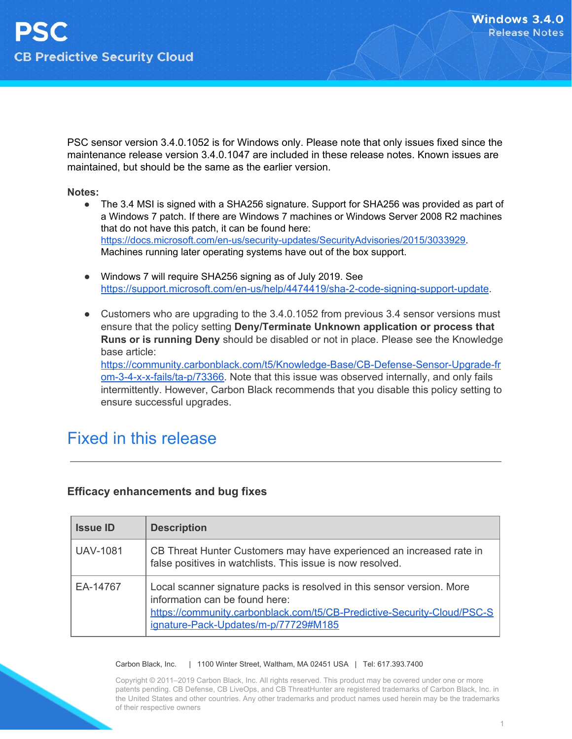PSC sensor version 3.4.0.1052 is for Windows only. Please note that only issues fixed since the maintenance release version 3.4.0.1047 are included in these release notes. Known issues are maintained, but should be the same as the earlier version.

#### **Notes:**

- The 3.4 MSI is signed with a SHA256 signature. Support for SHA256 was provided as part of a Windows 7 patch. If there are Windows 7 machines or Windows Server 2008 R2 machines that do not have this patch, it can be found here: [https://docs.microsoft.com/en-us/security-updates/SecurityAdvisories/2015/3033929.](https://docs.microsoft.com/en-us/security-updates/SecurityAdvisories/2015/3033929) Machines running later operating systems have out of the box support.
- Windows 7 will require SHA256 signing as of July 2019. See [https://support.microsoft.com/en-us/help/4474419/sha-2-code-signing-support-update.](https://support.microsoft.com/en-us/help/4474419/sha-2-code-signing-support-update)
- Customers who are upgrading to the 3.4.0.1052 from previous 3.4 sensor versions must ensure that the policy setting **Deny/Terminate Unknown application or process that Runs or is running Deny** should be disabled or not in place. Please see the Knowledge base article: [https://community.carbonblack.com/t5/Knowledge-Base/CB-Defense-Sensor-Upgrade-fr](https://community.carbonblack.com/t5/Knowledge-Base/CB-Defense-Sensor-Upgrade-from-3-4-x-x-fails/ta-p/73366) [om-3-4-x-x-fails/ta-p/73366.](https://community.carbonblack.com/t5/Knowledge-Base/CB-Defense-Sensor-Upgrade-from-3-4-x-x-fails/ta-p/73366) Note that this issue was observed internally, and only fails intermittently. However, Carbon Black recommends that you disable this policy setting to ensure successful upgrades.

### Fixed in this release

#### **Efficacy enhancements and bug fixes**

| <b>Issue ID</b> | <b>Description</b>                                                                                                                                                                                                          |
|-----------------|-----------------------------------------------------------------------------------------------------------------------------------------------------------------------------------------------------------------------------|
| <b>UAV-1081</b> | CB Threat Hunter Customers may have experienced an increased rate in<br>false positives in watchlists. This issue is now resolved.                                                                                          |
| EA-14767        | Local scanner signature packs is resolved in this sensor version. More<br>information can be found here:<br>https://community.carbonblack.com/t5/CB-Predictive-Security-Cloud/PSC-S<br>ignature-Pack-Updates/m-p/77729#M185 |

#### Carbon Black, Inc. | 1100 Winter Street, Waltham, MA 02451 USA | Tel: 617.393.7400

Copyright © 2011–2019 Carbon Black, Inc. All rights reserved. This product may be covered under one or more patents pending. CB Defense, CB LiveOps, and CB ThreatHunter are registered trademarks of Carbon Black, Inc. in the United States and other countries. Any other trademarks and product names used herein may be the trademarks of their respective owners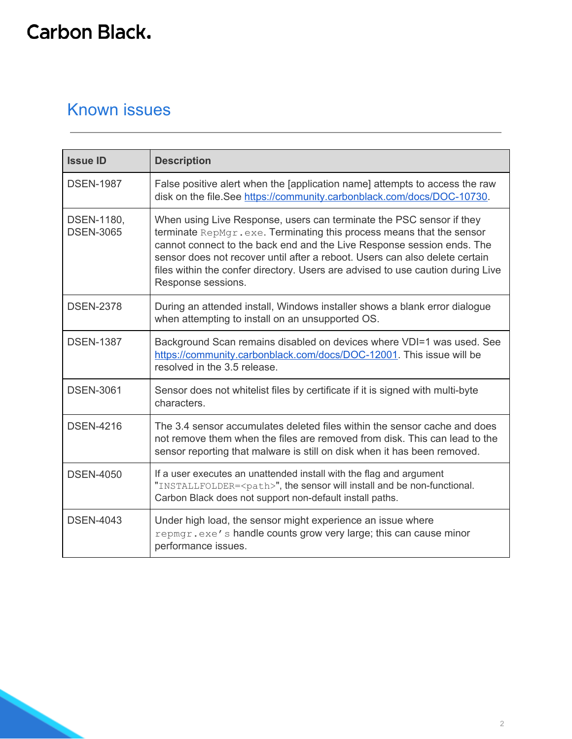# **Carbon Black.**

### Known issues

| <b>Issue ID</b>                | <b>Description</b>                                                                                                                                                                                                                                                                                                                                                                                             |
|--------------------------------|----------------------------------------------------------------------------------------------------------------------------------------------------------------------------------------------------------------------------------------------------------------------------------------------------------------------------------------------------------------------------------------------------------------|
| <b>DSEN-1987</b>               | False positive alert when the [application name] attempts to access the raw<br>disk on the file.See https://community.carbonblack.com/docs/DOC-10730.                                                                                                                                                                                                                                                          |
| DSEN-1180,<br><b>DSEN-3065</b> | When using Live Response, users can terminate the PSC sensor if they<br>terminate RepMgr.exe. Terminating this process means that the sensor<br>cannot connect to the back end and the Live Response session ends. The<br>sensor does not recover until after a reboot. Users can also delete certain<br>files within the confer directory. Users are advised to use caution during Live<br>Response sessions. |
| <b>DSEN-2378</b>               | During an attended install, Windows installer shows a blank error dialogue<br>when attempting to install on an unsupported OS.                                                                                                                                                                                                                                                                                 |
| <b>DSEN-1387</b>               | Background Scan remains disabled on devices where VDI=1 was used. See<br>https://community.carbonblack.com/docs/DOC-12001. This issue will be<br>resolved in the 3.5 release.                                                                                                                                                                                                                                  |
| <b>DSEN-3061</b>               | Sensor does not whitelist files by certificate if it is signed with multi-byte<br>characters.                                                                                                                                                                                                                                                                                                                  |
| <b>DSEN-4216</b>               | The 3.4 sensor accumulates deleted files within the sensor cache and does<br>not remove them when the files are removed from disk. This can lead to the<br>sensor reporting that malware is still on disk when it has been removed.                                                                                                                                                                            |
| <b>DSEN-4050</b>               | If a user executes an unattended install with the flag and argument<br>"INSTALLFOLDER= <path>", the sensor will install and be non-functional.<br/>Carbon Black does not support non-default install paths.</path>                                                                                                                                                                                             |
| <b>DSEN-4043</b>               | Under high load, the sensor might experience an issue where<br>repmgr.exe's handle counts grow very large; this can cause minor<br>performance issues.                                                                                                                                                                                                                                                         |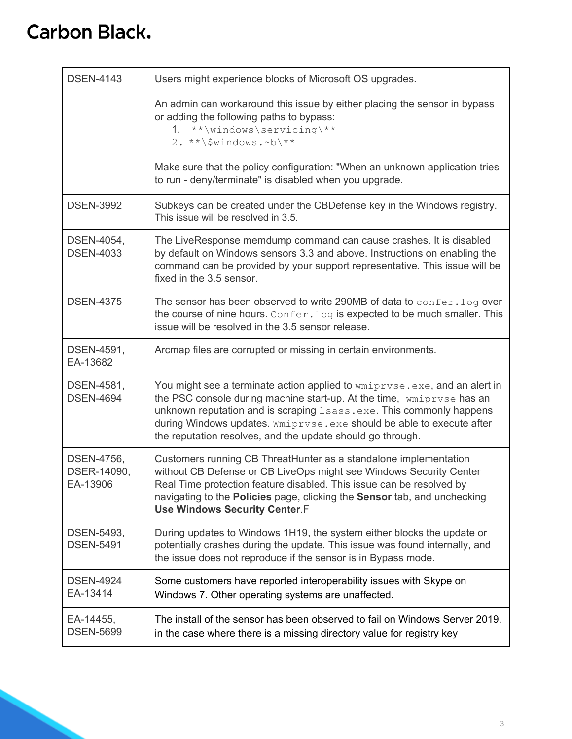# **Carbon Black.**

| <b>DSEN-4143</b>                      | Users might experience blocks of Microsoft OS upgrades.                                                                                                                                                                                                                                                                                                         |
|---------------------------------------|-----------------------------------------------------------------------------------------------------------------------------------------------------------------------------------------------------------------------------------------------------------------------------------------------------------------------------------------------------------------|
|                                       | An admin can workaround this issue by either placing the sensor in bypass<br>or adding the following paths to bypass:<br>1. **\windows\servicing\**<br>$2.***\$ Vindows.~b\**                                                                                                                                                                                   |
|                                       | Make sure that the policy configuration: "When an unknown application tries<br>to run - deny/terminate" is disabled when you upgrade.                                                                                                                                                                                                                           |
| <b>DSEN-3992</b>                      | Subkeys can be created under the CBD efense key in the Windows registry.<br>This issue will be resolved in 3.5.                                                                                                                                                                                                                                                 |
| DSEN-4054,<br><b>DSEN-4033</b>        | The LiveResponse memdump command can cause crashes. It is disabled<br>by default on Windows sensors 3.3 and above. Instructions on enabling the<br>command can be provided by your support representative. This issue will be<br>fixed in the 3.5 sensor.                                                                                                       |
| <b>DSEN-4375</b>                      | The sensor has been observed to write 290MB of data to confer. log over<br>the course of nine hours. Confer. log is expected to be much smaller. This<br>issue will be resolved in the 3.5 sensor release.                                                                                                                                                      |
| DSEN-4591,<br>EA-13682                | Arcmap files are corrupted or missing in certain environments.                                                                                                                                                                                                                                                                                                  |
| DSEN-4581,<br><b>DSEN-4694</b>        | You might see a terminate action applied to wmiprvse.exe, and an alert in<br>the PSC console during machine start-up. At the time, wmiprvse has an<br>unknown reputation and is scraping Lsass.exe. This commonly happens<br>during Windows updates. Wmiprvse.exe should be able to execute after<br>the reputation resolves, and the update should go through. |
| DSEN-4756,<br>DSER-14090,<br>EA-13906 | Customers running CB ThreatHunter as a standalone implementation<br>without CB Defense or CB LiveOps might see Windows Security Center<br>Real Time protection feature disabled. This issue can be resolved by<br>navigating to the Policies page, clicking the Sensor tab, and unchecking<br><b>Use Windows Security Center.F</b>                              |
| DSEN-5493,<br><b>DSEN-5491</b>        | During updates to Windows 1H19, the system either blocks the update or<br>potentially crashes during the update. This issue was found internally, and<br>the issue does not reproduce if the sensor is in Bypass mode.                                                                                                                                          |
| <b>DSEN-4924</b><br>EA-13414          | Some customers have reported interoperability issues with Skype on<br>Windows 7. Other operating systems are unaffected.                                                                                                                                                                                                                                        |
| EA-14455,<br><b>DSEN-5699</b>         | The install of the sensor has been observed to fail on Windows Server 2019.<br>in the case where there is a missing directory value for registry key                                                                                                                                                                                                            |